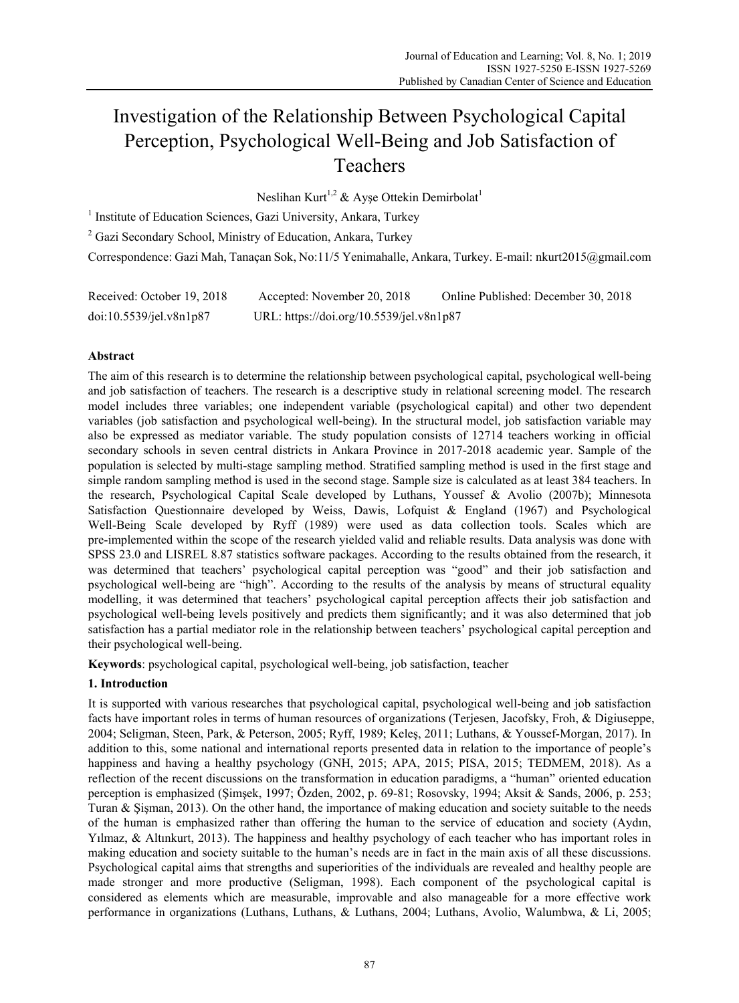# Investigation of the Relationship Between Psychological Capital Perception, Psychological Well-Being and Job Satisfaction of Teachers

Neslihan Kurt<sup>1,2</sup> & Ayse Ottekin Demirbolat<sup>1</sup>

<sup>1</sup> Institute of Education Sciences, Gazi University, Ankara, Turkey

<sup>2</sup> Gazi Secondary School, Ministry of Education, Ankara, Turkey

Correspondence: Gazi Mah, Tanaçan Sok, No:11/5 Yenimahalle, Ankara, Turkey. E-mail: nkurt2015@gmail.com

| Received: October 19, 2018 | Accepted: November 20, 2018              | Online Published: December 30, 2018 |
|----------------------------|------------------------------------------|-------------------------------------|
| doi:10.5539/jel.v8n1p87    | URL: https://doi.org/10.5539/jel.v8n1p87 |                                     |

## **Abstract**

The aim of this research is to determine the relationship between psychological capital, psychological well-being and job satisfaction of teachers. The research is a descriptive study in relational screening model. The research model includes three variables; one independent variable (psychological capital) and other two dependent variables (job satisfaction and psychological well-being). In the structural model, job satisfaction variable may also be expressed as mediator variable. The study population consists of 12714 teachers working in official secondary schools in seven central districts in Ankara Province in 2017-2018 academic year. Sample of the population is selected by multi-stage sampling method. Stratified sampling method is used in the first stage and simple random sampling method is used in the second stage. Sample size is calculated as at least 384 teachers. In the research, Psychological Capital Scale developed by Luthans, Youssef & Avolio (2007b); Minnesota Satisfaction Questionnaire developed by Weiss, Dawis, Lofquist & England (1967) and Psychological Well-Being Scale developed by Ryff (1989) were used as data collection tools. Scales which are pre-implemented within the scope of the research yielded valid and reliable results. Data analysis was done with SPSS 23.0 and LISREL 8.87 statistics software packages. According to the results obtained from the research, it was determined that teachers' psychological capital perception was "good" and their job satisfaction and psychological well-being are "high". According to the results of the analysis by means of structural equality modelling, it was determined that teachers' psychological capital perception affects their job satisfaction and psychological well-being levels positively and predicts them significantly; and it was also determined that job satisfaction has a partial mediator role in the relationship between teachers' psychological capital perception and their psychological well-being.

**Keywords**: psychological capital, psychological well-being, job satisfaction, teacher

## **1. Introduction**

It is supported with various researches that psychological capital, psychological well-being and job satisfaction facts have important roles in terms of human resources of organizations (Terjesen, Jacofsky, Froh, & Digiuseppe, 2004; Seligman, Steen, Park, & Peterson, 2005; Ryff, 1989; Keleş, 2011; Luthans, & Youssef-Morgan, 2017). In addition to this, some national and international reports presented data in relation to the importance of people's happiness and having a healthy psychology (GNH, 2015; APA, 2015; PISA, 2015; TEDMEM, 2018). As a reflection of the recent discussions on the transformation in education paradigms, a "human" oriented education perception is emphasized (Şimşek, 1997; Özden, 2002, p. 69-81; Rosovsky, 1994; Aksit & Sands, 2006, p. 253; Turan & Şişman, 2013). On the other hand, the importance of making education and society suitable to the needs of the human is emphasized rather than offering the human to the service of education and society (Aydın, Yılmaz, & Altınkurt, 2013). The happiness and healthy psychology of each teacher who has important roles in making education and society suitable to the human's needs are in fact in the main axis of all these discussions. Psychological capital aims that strengths and superiorities of the individuals are revealed and healthy people are made stronger and more productive (Seligman, 1998). Each component of the psychological capital is considered as elements which are measurable, improvable and also manageable for a more effective work performance in organizations (Luthans, Luthans, & Luthans, 2004; Luthans, Avolio, Walumbwa, & Li, 2005;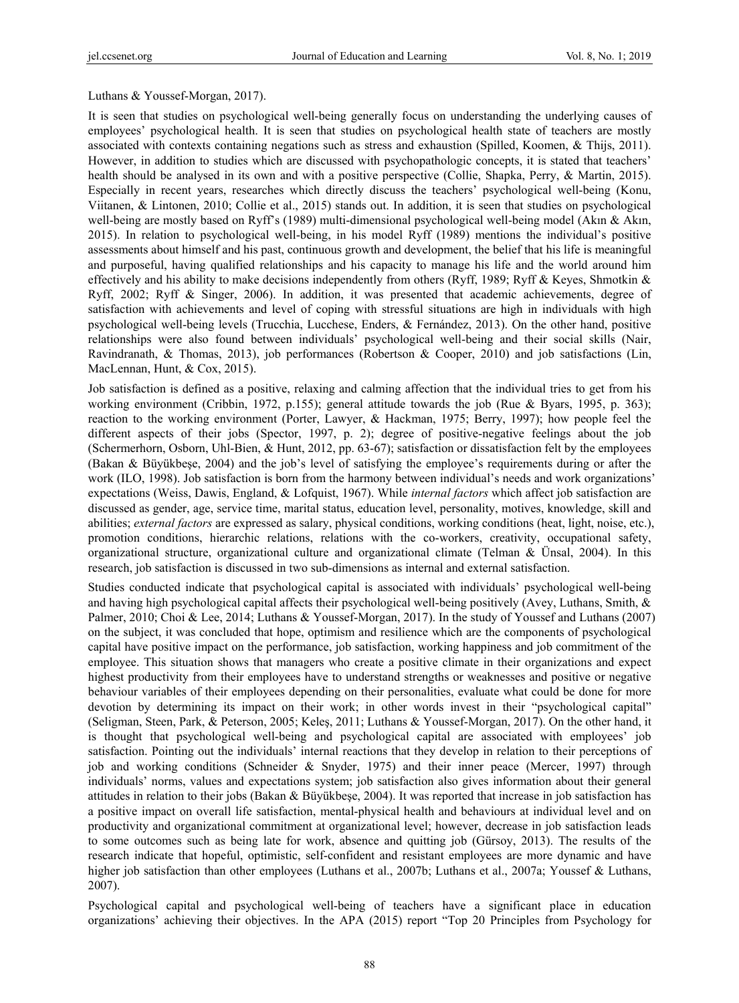## Luthans & Youssef-Morgan, 2017).

It is seen that studies on psychological well-being generally focus on understanding the underlying causes of employees' psychological health. It is seen that studies on psychological health state of teachers are mostly associated with contexts containing negations such as stress and exhaustion (Spilled, Koomen, & Thijs, 2011). However, in addition to studies which are discussed with psychopathologic concepts, it is stated that teachers' health should be analysed in its own and with a positive perspective (Collie, Shapka, Perry, & Martin, 2015). Especially in recent years, researches which directly discuss the teachers' psychological well-being (Konu, Viitanen, & Lintonen, 2010; Collie et al., 2015) stands out. In addition, it is seen that studies on psychological well-being are mostly based on Ryff's (1989) multi-dimensional psychological well-being model (Akın & Akın, 2015). In relation to psychological well-being, in his model Ryff (1989) mentions the individual's positive assessments about himself and his past, continuous growth and development, the belief that his life is meaningful and purposeful, having qualified relationships and his capacity to manage his life and the world around him effectively and his ability to make decisions independently from others (Ryff, 1989; Ryff & Keyes, Shmotkin & Ryff, 2002; Ryff & Singer, 2006). In addition, it was presented that academic achievements, degree of satisfaction with achievements and level of coping with stressful situations are high in individuals with high psychological well-being levels (Trucchia, Lucchese, Enders, & Fernández, 2013). On the other hand, positive relationships were also found between individuals' psychological well-being and their social skills (Nair, Ravindranath, & Thomas, 2013), job performances (Robertson & Cooper, 2010) and job satisfactions (Lin, MacLennan, Hunt, & Cox, 2015).

Job satisfaction is defined as a positive, relaxing and calming affection that the individual tries to get from his working environment (Cribbin, 1972, p.155); general attitude towards the job (Rue & Byars, 1995, p. 363); reaction to the working environment (Porter, Lawyer, & Hackman, 1975; Berry, 1997); how people feel the different aspects of their jobs (Spector, 1997, p. 2); degree of positive-negative feelings about the job (Schermerhorn, Osborn, Uhl-Bien, & Hunt, 2012, pp. 63-67); satisfaction or dissatisfaction felt by the employees (Bakan & Büyükbeşe, 2004) and the job's level of satisfying the employee's requirements during or after the work (ILO, 1998). Job satisfaction is born from the harmony between individual's needs and work organizations' expectations (Weiss, Dawis, England, & Lofquist, 1967). While *internal factors* which affect job satisfaction are discussed as gender, age, service time, marital status, education level, personality, motives, knowledge, skill and abilities; *external factors* are expressed as salary, physical conditions, working conditions (heat, light, noise, etc.), promotion conditions, hierarchic relations, relations with the co-workers, creativity, occupational safety, organizational structure, organizational culture and organizational climate (Telman & Ünsal, 2004). In this research, job satisfaction is discussed in two sub-dimensions as internal and external satisfaction.

Studies conducted indicate that psychological capital is associated with individuals' psychological well-being and having high psychological capital affects their psychological well-being positively (Avey, Luthans, Smith, & Palmer, 2010; Choi & Lee, 2014; Luthans & Youssef-Morgan, 2017). In the study of Youssef and Luthans (2007) on the subject, it was concluded that hope, optimism and resilience which are the components of psychological capital have positive impact on the performance, job satisfaction, working happiness and job commitment of the employee. This situation shows that managers who create a positive climate in their organizations and expect highest productivity from their employees have to understand strengths or weaknesses and positive or negative behaviour variables of their employees depending on their personalities, evaluate what could be done for more devotion by determining its impact on their work; in other words invest in their "psychological capital" (Seligman, Steen, Park, & Peterson, 2005; Keleş, 2011; Luthans & Youssef-Morgan, 2017). On the other hand, it is thought that psychological well-being and psychological capital are associated with employees' job satisfaction. Pointing out the individuals' internal reactions that they develop in relation to their perceptions of job and working conditions (Schneider & Snyder, 1975) and their inner peace (Mercer, 1997) through individuals' norms, values and expectations system; job satisfaction also gives information about their general attitudes in relation to their jobs (Bakan & Büyükbeşe, 2004). It was reported that increase in job satisfaction has a positive impact on overall life satisfaction, mental-physical health and behaviours at individual level and on productivity and organizational commitment at organizational level; however, decrease in job satisfaction leads to some outcomes such as being late for work, absence and quitting job (Gürsoy, 2013). The results of the research indicate that hopeful, optimistic, self-confident and resistant employees are more dynamic and have higher job satisfaction than other employees (Luthans et al., 2007b; Luthans et al., 2007a; Youssef & Luthans, 2007).

Psychological capital and psychological well-being of teachers have a significant place in education organizations' achieving their objectives. In the APA (2015) report "Top 20 Principles from Psychology for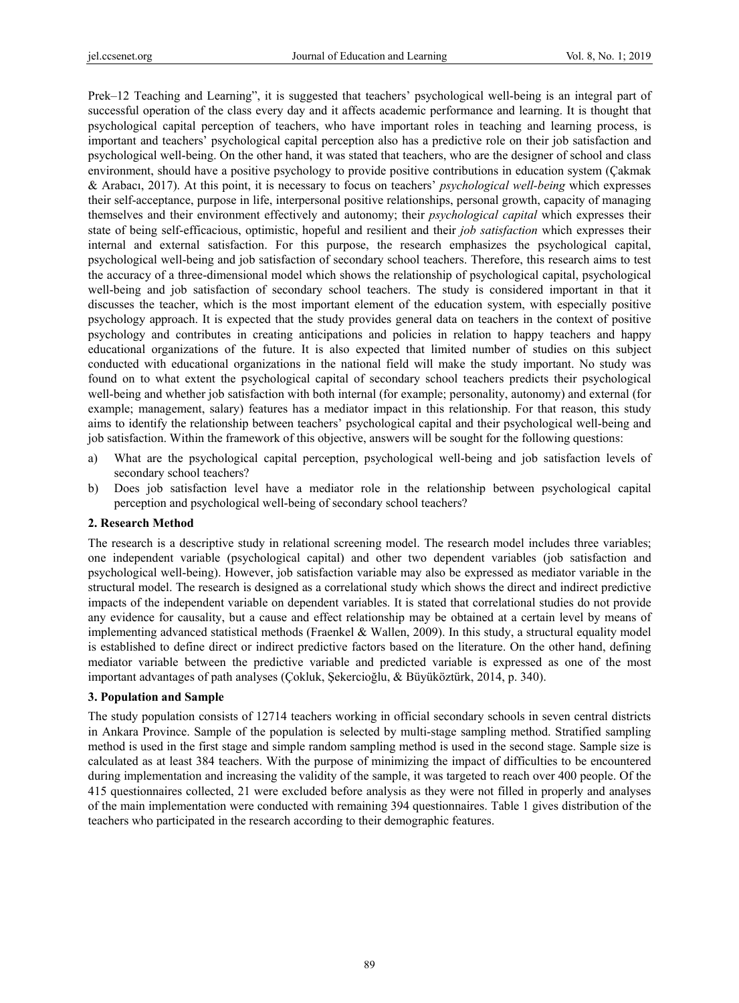Prek–12 Teaching and Learning", it is suggested that teachers' psychological well-being is an integral part of successful operation of the class every day and it affects academic performance and learning. It is thought that psychological capital perception of teachers, who have important roles in teaching and learning process, is important and teachers' psychological capital perception also has a predictive role on their job satisfaction and psychological well-being. On the other hand, it was stated that teachers, who are the designer of school and class environment, should have a positive psychology to provide positive contributions in education system (Çakmak & Arabacı, 2017). At this point, it is necessary to focus on teachers' *psychological well-being* which expresses their self-acceptance, purpose in life, interpersonal positive relationships, personal growth, capacity of managing themselves and their environment effectively and autonomy; their *psychological capital* which expresses their state of being self-efficacious, optimistic, hopeful and resilient and their *job satisfaction* which expresses their internal and external satisfaction. For this purpose, the research emphasizes the psychological capital, psychological well-being and job satisfaction of secondary school teachers. Therefore, this research aims to test the accuracy of a three-dimensional model which shows the relationship of psychological capital, psychological well-being and job satisfaction of secondary school teachers. The study is considered important in that it discusses the teacher, which is the most important element of the education system, with especially positive psychology approach. It is expected that the study provides general data on teachers in the context of positive psychology and contributes in creating anticipations and policies in relation to happy teachers and happy educational organizations of the future. It is also expected that limited number of studies on this subject conducted with educational organizations in the national field will make the study important. No study was found on to what extent the psychological capital of secondary school teachers predicts their psychological well-being and whether job satisfaction with both internal (for example; personality, autonomy) and external (for example; management, salary) features has a mediator impact in this relationship. For that reason, this study aims to identify the relationship between teachers' psychological capital and their psychological well-being and job satisfaction. Within the framework of this objective, answers will be sought for the following questions:

- a) What are the psychological capital perception, psychological well-being and job satisfaction levels of secondary school teachers?
- b) Does job satisfaction level have a mediator role in the relationship between psychological capital perception and psychological well-being of secondary school teachers?

#### **2. Research Method**

The research is a descriptive study in relational screening model. The research model includes three variables; one independent variable (psychological capital) and other two dependent variables (job satisfaction and psychological well-being). However, job satisfaction variable may also be expressed as mediator variable in the structural model. The research is designed as a correlational study which shows the direct and indirect predictive impacts of the independent variable on dependent variables. It is stated that correlational studies do not provide any evidence for causality, but a cause and effect relationship may be obtained at a certain level by means of implementing advanced statistical methods (Fraenkel & Wallen, 2009). In this study, a structural equality model is established to define direct or indirect predictive factors based on the literature. On the other hand, defining mediator variable between the predictive variable and predicted variable is expressed as one of the most important advantages of path analyses (Çokluk, Şekercioğlu, & Büyüköztürk, 2014, p. 340).

#### **3. Population and Sample**

The study population consists of 12714 teachers working in official secondary schools in seven central districts in Ankara Province. Sample of the population is selected by multi-stage sampling method. Stratified sampling method is used in the first stage and simple random sampling method is used in the second stage. Sample size is calculated as at least 384 teachers. With the purpose of minimizing the impact of difficulties to be encountered during implementation and increasing the validity of the sample, it was targeted to reach over 400 people. Of the 415 questionnaires collected, 21 were excluded before analysis as they were not filled in properly and analyses of the main implementation were conducted with remaining 394 questionnaires. Table 1 gives distribution of the teachers who participated in the research according to their demographic features.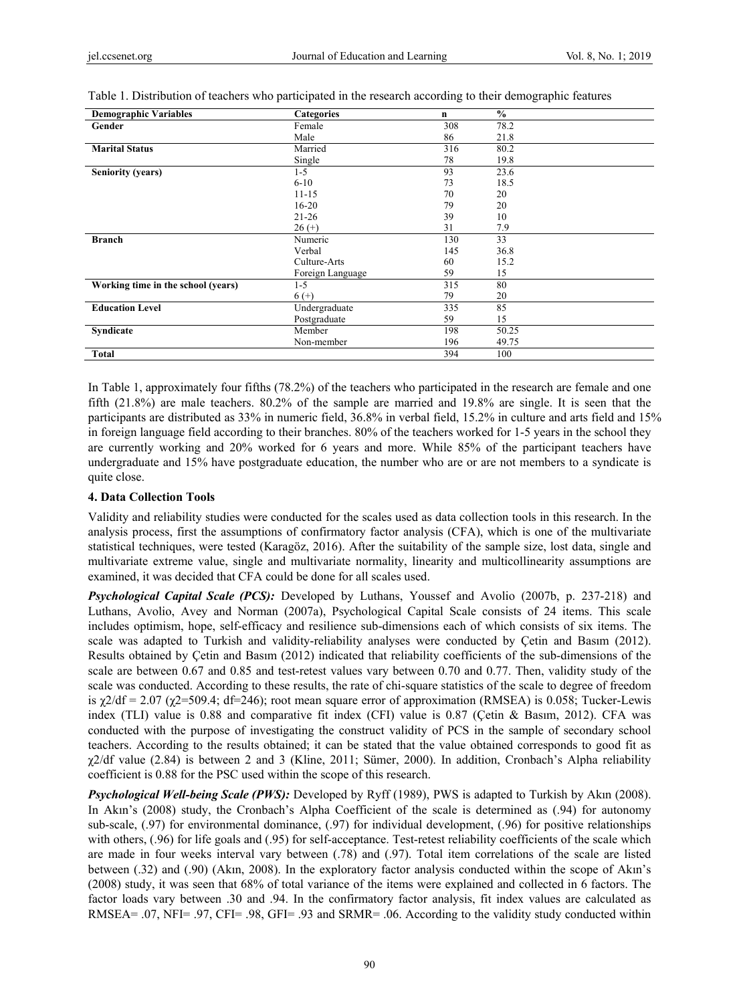| <b>Demographic Variables</b>       | <b>Categories</b> | n   | $\frac{0}{0}$ |
|------------------------------------|-------------------|-----|---------------|
| Gender                             | Female            | 308 | 78.2          |
|                                    | Male              | 86  | 21.8          |
| <b>Marital Status</b>              | Married           | 316 | 80.2          |
|                                    | Single            | 78  | 19.8          |
| <b>Seniority (years)</b>           | $1-5$             | 93  | 23.6          |
|                                    | $6-10$            | 73  | 18.5          |
|                                    | $11 - 15$         | 70  | 20            |
|                                    | $16 - 20$         | 79  | 20            |
|                                    | $21 - 26$         | 39  | 10            |
|                                    | $26 (+)$          | 31  | 7.9           |
| <b>Branch</b>                      | Numeric           | 130 | 33            |
|                                    | Verbal            | 145 | 36.8          |
|                                    | Culture-Arts      | 60  | 15.2          |
|                                    | Foreign Language  | 59  | 15            |
| Working time in the school (years) | $1 - 5$           | 315 | 80            |
|                                    | $6 (+)$           | 79  | 20            |
| <b>Education Level</b>             | Undergraduate     | 335 | 85            |
|                                    | Postgraduate      | 59  | 15            |
| Syndicate                          | Member            | 198 | 50.25         |
|                                    | Non-member        | 196 | 49.75         |
| <b>Total</b>                       |                   | 394 | 100           |

Table 1. Distribution of teachers who participated in the research according to their demographic features

In Table 1, approximately four fifths (78.2%) of the teachers who participated in the research are female and one fifth (21.8%) are male teachers. 80.2% of the sample are married and 19.8% are single. It is seen that the participants are distributed as 33% in numeric field, 36.8% in verbal field, 15.2% in culture and arts field and 15% in foreign language field according to their branches. 80% of the teachers worked for 1-5 years in the school they are currently working and 20% worked for 6 years and more. While 85% of the participant teachers have undergraduate and 15% have postgraduate education, the number who are or are not members to a syndicate is quite close.

#### **4. Data Collection Tools**

Validity and reliability studies were conducted for the scales used as data collection tools in this research. In the analysis process, first the assumptions of confirmatory factor analysis (CFA), which is one of the multivariate statistical techniques, were tested (Karagöz, 2016). After the suitability of the sample size, lost data, single and multivariate extreme value, single and multivariate normality, linearity and multicollinearity assumptions are examined, it was decided that CFA could be done for all scales used.

*Psychological Capital Scale (PCS):* Developed by Luthans, Youssef and Avolio (2007b, p. 237-218) and Luthans, Avolio, Avey and Norman (2007a), Psychological Capital Scale consists of 24 items. This scale includes optimism, hope, self-efficacy and resilience sub-dimensions each of which consists of six items. The scale was adapted to Turkish and validity-reliability analyses were conducted by Çetin and Basım (2012). Results obtained by Çetin and Basım (2012) indicated that reliability coefficients of the sub-dimensions of the scale are between 0.67 and 0.85 and test-retest values vary between 0.70 and 0.77. Then, validity study of the scale was conducted. According to these results, the rate of chi-square statistics of the scale to degree of freedom is  $\chi$ 2/df = 2.07 ( $\chi$ 2=509.4; df=246); root mean square error of approximation (RMSEA) is 0.058; Tucker-Lewis index (TLI) value is 0.88 and comparative fit index (CFI) value is 0.87 (Çetin & Basım, 2012). CFA was conducted with the purpose of investigating the construct validity of PCS in the sample of secondary school teachers. According to the results obtained; it can be stated that the value obtained corresponds to good fit as  $\chi$ 2/df value (2.84) is between 2 and 3 (Kline, 2011; Sümer, 2000). In addition, Cronbach's Alpha reliability coefficient is 0.88 for the PSC used within the scope of this research.

*Psychological Well-being Scale (PWS):* Developed by Ryff (1989), PWS is adapted to Turkish by Akın (2008). In Akın's (2008) study, the Cronbach's Alpha Coefficient of the scale is determined as (.94) for autonomy sub-scale, (.97) for environmental dominance, (.97) for individual development, (.96) for positive relationships with others, (.96) for life goals and (.95) for self-acceptance. Test-retest reliability coefficients of the scale which are made in four weeks interval vary between (.78) and (.97). Total item correlations of the scale are listed between (.32) and (.90) (Akın, 2008). In the exploratory factor analysis conducted within the scope of Akın's (2008) study, it was seen that 68% of total variance of the items were explained and collected in 6 factors. The factor loads vary between .30 and .94. In the confirmatory factor analysis, fit index values are calculated as RMSEA= .07, NFI= .97, CFI= .98, GFI= .93 and SRMR= .06. According to the validity study conducted within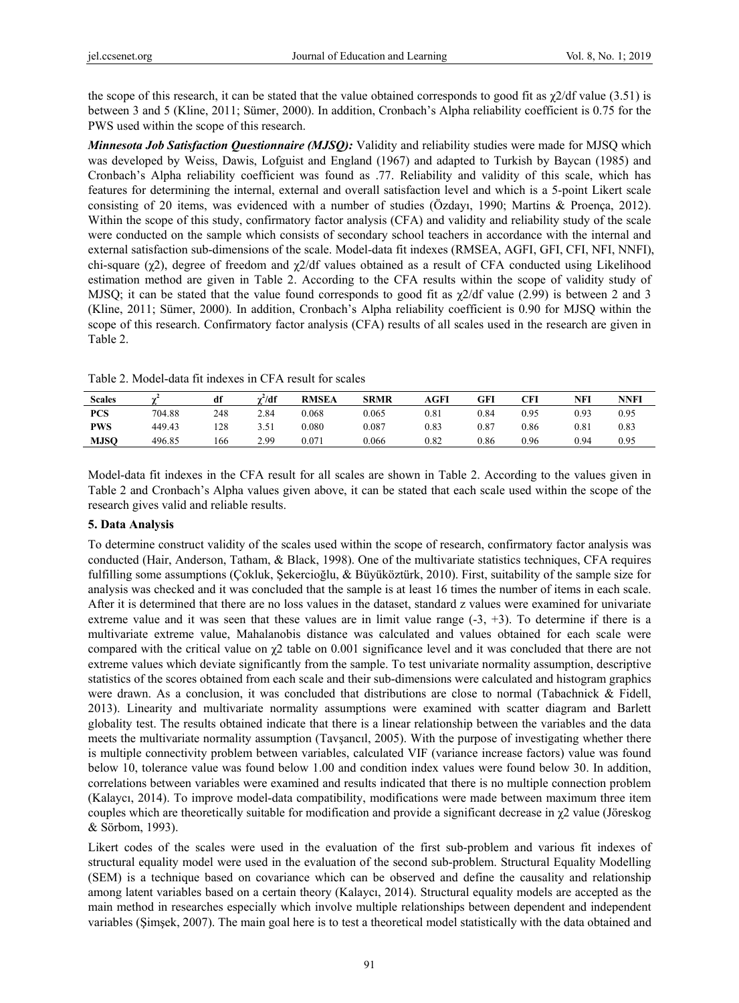the scope of this research, it can be stated that the value obtained corresponds to good fit as  $\gamma$ 2/df value (3.51) is between 3 and 5 (Kline, 2011; Sümer, 2000). In addition, Cronbach's Alpha reliability coefficient is 0.75 for the PWS used within the scope of this research.

*Minnesota Job Satisfaction Questionnaire (MJSQ):* Validity and reliability studies were made for MJSQ which was developed by Weiss, Dawis, Lofguist and England (1967) and adapted to Turkish by Baycan (1985) and Cronbach's Alpha reliability coefficient was found as .77. Reliability and validity of this scale, which has features for determining the internal, external and overall satisfaction level and which is a 5-point Likert scale consisting of 20 items, was evidenced with a number of studies (Özdayı, 1990; Martins & Proença, 2012). Within the scope of this study, confirmatory factor analysis (CFA) and validity and reliability study of the scale were conducted on the sample which consists of secondary school teachers in accordance with the internal and external satisfaction sub-dimensions of the scale. Model-data fit indexes (RMSEA, AGFI, GFI, CFI, NFI, NNFI), chi-square ( $\chi$ 2), degree of freedom and  $\chi$ 2/df values obtained as a result of CFA conducted using Likelihood estimation method are given in Table 2. According to the CFA results within the scope of validity study of MJSQ; it can be stated that the value found corresponds to good fit as  $\chi$ 2/df value (2.99) is between 2 and 3 (Kline, 2011; Sümer, 2000). In addition, Cronbach's Alpha reliability coefficient is 0.90 for MJSQ within the scope of this research. Confirmatory factor analysis (CFA) results of all scales used in the research are given in Table 2.

Table 2. Model-data fit indexes in CFA result for scales

| <b>Scales</b> |        | df  | $\gamma^2/df$ | <b>RMSEA</b> | SRMR  | AGFI      | GFI       | CFI  | NFI  | NNFI |
|---------------|--------|-----|---------------|--------------|-------|-----------|-----------|------|------|------|
| <b>PCS</b>    | 704.88 | 248 | 2.84          | 0.068        | 0.065 | $_{0.81}$ | 0.84      | 0.95 | 0.93 | 0.95 |
| <b>PWS</b>    | 449.43 | 128 | 3.51          | 0.080        | 0.087 | 0.83      | $_{0.87}$ | 0.86 | 0.81 | 0.83 |
| <b>MJSO</b>   | 496.85 | 166 | 2.99          | 0.071        | 0.066 | 0.82      | 0.86      | 0.96 | 0.94 | 0.95 |

Model-data fit indexes in the CFA result for all scales are shown in Table 2. According to the values given in Table 2 and Cronbach's Alpha values given above, it can be stated that each scale used within the scope of the research gives valid and reliable results.

### **5. Data Analysis**

To determine construct validity of the scales used within the scope of research, confirmatory factor analysis was conducted (Hair, Anderson, Tatham, & Black, 1998). One of the multivariate statistics techniques, CFA requires fulfilling some assumptions (Çokluk, Şekercioğlu, & Büyüköztürk, 2010). First, suitability of the sample size for analysis was checked and it was concluded that the sample is at least 16 times the number of items in each scale. After it is determined that there are no loss values in the dataset, standard z values were examined for univariate extreme value and it was seen that these values are in limit value range  $(-3, +3)$ . To determine if there is a multivariate extreme value, Mahalanobis distance was calculated and values obtained for each scale were compared with the critical value on  $\chi$ 2 table on 0.001 significance level and it was concluded that there are not extreme values which deviate significantly from the sample. To test univariate normality assumption, descriptive statistics of the scores obtained from each scale and their sub-dimensions were calculated and histogram graphics were drawn. As a conclusion, it was concluded that distributions are close to normal (Tabachnick & Fidell, 2013). Linearity and multivariate normality assumptions were examined with scatter diagram and Barlett globality test. The results obtained indicate that there is a linear relationship between the variables and the data meets the multivariate normality assumption (Tavşancıl, 2005). With the purpose of investigating whether there is multiple connectivity problem between variables, calculated VIF (variance increase factors) value was found below 10, tolerance value was found below 1.00 and condition index values were found below 30. In addition, correlations between variables were examined and results indicated that there is no multiple connection problem (Kalaycı, 2014). To improve model-data compatibility, modifications were made between maximum three item couples which are theoretically suitable for modification and provide a significant decrease in  $\chi$ 2 value (Jöreskog & Sörbom, 1993).

Likert codes of the scales were used in the evaluation of the first sub-problem and various fit indexes of structural equality model were used in the evaluation of the second sub-problem. Structural Equality Modelling (SEM) is a technique based on covariance which can be observed and define the causality and relationship among latent variables based on a certain theory (Kalaycı, 2014). Structural equality models are accepted as the main method in researches especially which involve multiple relationships between dependent and independent variables (Şimşek, 2007). The main goal here is to test a theoretical model statistically with the data obtained and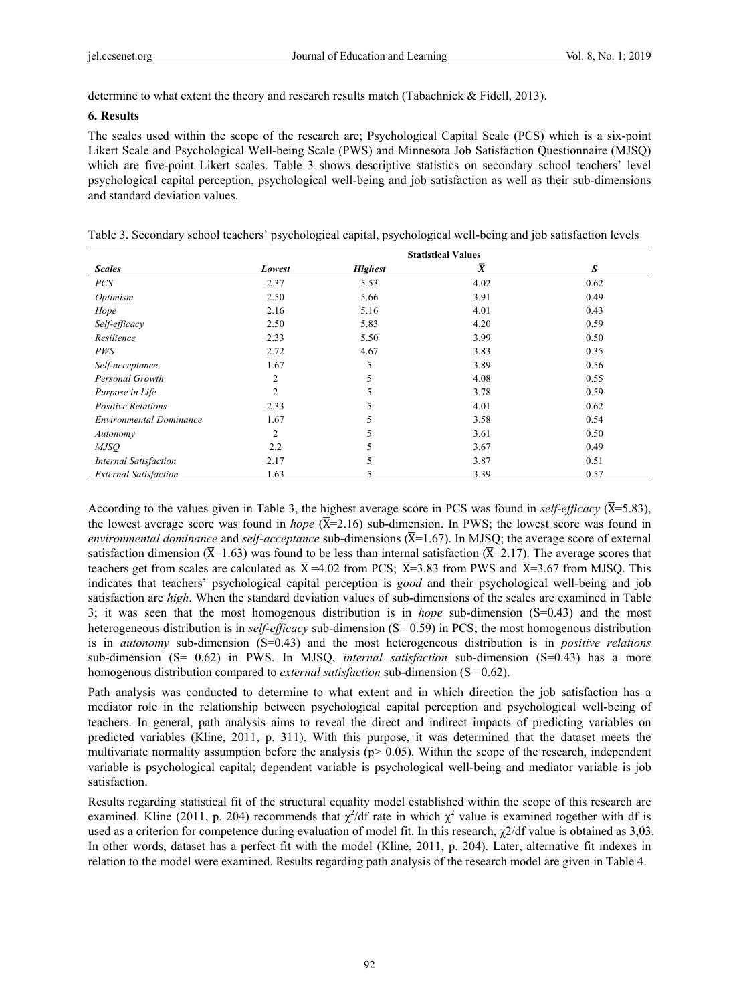determine to what extent the theory and research results match (Tabachnick & Fidell, 2013).

#### **6. Results**

The scales used within the scope of the research are; Psychological Capital Scale (PCS) which is a six-point Likert Scale and Psychological Well-being Scale (PWS) and Minnesota Job Satisfaction Questionnaire (MJSQ) which are five-point Likert scales. Table 3 shows descriptive statistics on secondary school teachers' level psychological capital perception, psychological well-being and job satisfaction as well as their sub-dimensions and standard deviation values.

|                                | <b>Statistical Values</b> |                |                 |      |  |  |  |  |
|--------------------------------|---------------------------|----------------|-----------------|------|--|--|--|--|
| <b>Scales</b>                  | Lowest                    | <b>Highest</b> | $\bar{\pmb{X}}$ | S    |  |  |  |  |
| <b>PCS</b>                     | 2.37                      | 5.53           | 4.02            | 0.62 |  |  |  |  |
| Optimism                       | 2.50                      | 5.66           | 3.91            | 0.49 |  |  |  |  |
| Hope                           | 2.16                      | 5.16           | 4.01            | 0.43 |  |  |  |  |
| Self-efficacy                  | 2.50                      | 5.83           | 4.20            | 0.59 |  |  |  |  |
| Resilience                     | 2.33                      | 5.50           | 3.99            | 0.50 |  |  |  |  |
| PWS                            | 2.72                      | 4.67           | 3.83            | 0.35 |  |  |  |  |
| Self-acceptance                | 1.67                      | 5              | 3.89            | 0.56 |  |  |  |  |
| Personal Growth                | 2                         | 5              | 4.08            | 0.55 |  |  |  |  |
| Purpose in Life                | 2                         | 5              | 3.78            | 0.59 |  |  |  |  |
| <b>Positive Relations</b>      | 2.33                      | 5              | 4.01            | 0.62 |  |  |  |  |
| <b>Environmental Dominance</b> | 1.67                      | 5              | 3.58            | 0.54 |  |  |  |  |
| Autonomy                       | $\overline{2}$            | 5              | 3.61            | 0.50 |  |  |  |  |
| <i>MJSO</i>                    | 2.2                       | 5              | 3.67            | 0.49 |  |  |  |  |
| <b>Internal Satisfaction</b>   | 2.17                      | 5              | 3.87            | 0.51 |  |  |  |  |
| <b>External Satisfaction</b>   | 1.63                      | 5              | 3.39            | 0.57 |  |  |  |  |

Table 3. Secondary school teachers' psychological capital, psychological well-being and job satisfaction levels

According to the values given in Table 3, the highest average score in PCS was found in *self-efficacy*  $(\overline{X}=5.83)$ , the lowest average score was found in *hope*  $(\overline{X}=2.16)$  sub-dimension. In PWS; the lowest score was found in *environmental dominance* and *self-acceptance* sub-dimensions  $(\overline{X}=1.67)$ . In MJSO; the average score of external satisfaction dimension ( $\overline{X}$ =1.63) was found to be less than internal satisfaction ( $\overline{X}$ =2.17). The average scores that teachers get from scales are calculated as  $\overline{X}$  =4.02 from PCS;  $\overline{X}$ =3.83 from PWS and  $\overline{X}$ =3.67 from MJSQ. This indicates that teachers' psychological capital perception is *good* and their psychological well-being and job satisfaction are *high*. When the standard deviation values of sub-dimensions of the scales are examined in Table 3; it was seen that the most homogenous distribution is in *hope* sub-dimension (S=0.43) and the most heterogeneous distribution is in *self-efficacy* sub-dimension (S= 0.59) in PCS; the most homogenous distribution is in *autonomy* sub-dimension (S=0.43) and the most heterogeneous distribution is in *positive relations* sub-dimension (S= 0.62) in PWS. In MJSQ, *internal satisfaction* sub-dimension (S=0.43) has a more homogenous distribution compared to *external satisfaction* sub-dimension (S= 0.62).

Path analysis was conducted to determine to what extent and in which direction the job satisfaction has a mediator role in the relationship between psychological capital perception and psychological well-being of teachers. In general, path analysis aims to reveal the direct and indirect impacts of predicting variables on predicted variables (Kline, 2011, p. 311). With this purpose, it was determined that the dataset meets the multivariate normality assumption before the analysis ( $p$  > 0.05). Within the scope of the research, independent variable is psychological capital; dependent variable is psychological well-being and mediator variable is job satisfaction.

Results regarding statistical fit of the structural equality model established within the scope of this research are examined. Kline (2011, p. 204) recommends that  $\chi^2$ /df rate in which  $\chi^2$  value is examined together with df is used as a criterion for competence during evaluation of model fit. In this research,  $\chi$ 2/df value is obtained as 3,03. In other words, dataset has a perfect fit with the model (Kline, 2011, p. 204). Later, alternative fit indexes in relation to the model were examined. Results regarding path analysis of the research model are given in Table 4.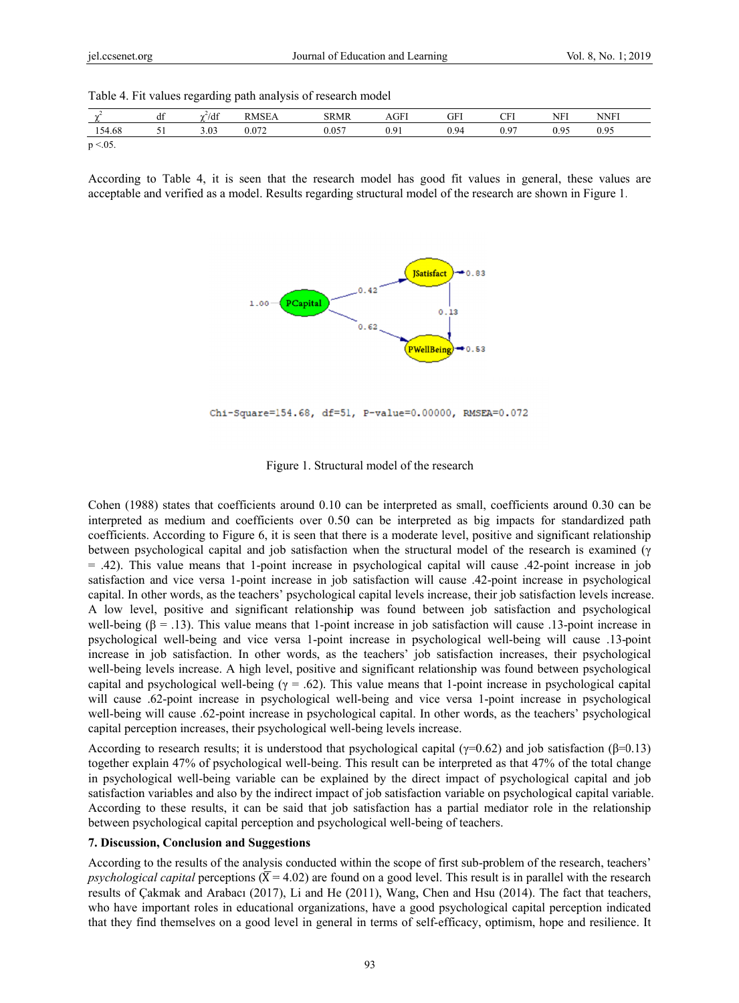|  | Table 4. Fit values regarding path analysis of research model |  |  |  |
|--|---------------------------------------------------------------|--|--|--|
|  |                                                               |  |  |  |

| $\overline{\phantom{a}}$ | 10 <sup>o</sup><br>df | $\chi^2/df$ | <b>RMSEA</b> | <b>SRMR</b> | AGFJ           | GFI  | CFI  | <b>NFI</b> | <b>NNFI</b> |
|--------------------------|-----------------------|-------------|--------------|-------------|----------------|------|------|------------|-------------|
| 154.68                   | ◡                     | 3.03        | 0.072        | 057<br>U.UJ | 0.01<br>v. . 1 | 0.94 | 0.97 | 0.95       | 0.95        |
| $p < 0.05$ .             |                       |             |              |             |                |      |      |            |             |

According to Table 4, it is seen that the research model has good fit values in general, these values are acceptable and verified as a model. Results regarding structural model of the research are shown in Figure 1.



Chi-Square=154.68, df=51, P-value=0.00000, RMSEA=0.072

Figure 1. Structural model of the research

Cohen (1988) states that coefficients around 0.10 can be interpreted as small, coefficients around 0.30 can be interpreted as medium and coefficients over 0.50 can be interpreted as big impacts for standardized path coefficients. According to Figure 6, it is seen that there is a moderate level, positive and significant relationship between psychological capital and job satisfaction when the structural model of the research is examined (γ  $=$  .42). This value means that 1-point increase in psychological capital will cause .42-point increase in job satisfaction and vice versa 1-point increase in job satisfaction will cause .42-point increase in psychological capital. In other words, as the teachers' psychological capital levels increase, their job satisfaction levels increase. A low level, positive and significant relationship was found between job satisfaction and psychological well-being  $(\beta = .13)$ . This value means that 1-point increase in job satisfaction will cause .13-point increase in psychological well-being and vice versa 1-point increase in psychological well-being will cause .13-point increase in job satisfaction. In other words, as the teachers' job satisfaction increases, their psychological well-being levels increase. A high level, positive and significant relationship was found between psychological capital and psychological well-being  $(\gamma = .62)$ . This value means that 1-point increase in psychological capital will cause .62-point increase in psychological well-being and vice versa 1-point increase in psychological well-being will cause .62-point increase in psychological capital. In other words, as the teachers' psychological capital perception increases, their psychological well-being levels increase.

According to research results; it is understood that psychological capital ( $\gamma$ =0.62) and job satisfaction ( $\beta$ =0.13) together explain 47% of psychological well-being. This result can be interpreted as that 47% of the total change in psychological well-being variable can be explained by the direct impact of psychological capital and job satisfaction variables and also by the indirect impact of job satisfaction variable on psychological capital variable. According to these results, it can be said that job satisfaction has a partial mediator role in the relationship between psychological capital perception and psychological well-being of teachers.

#### **7. Discussion, Conclusion and Suggestions**

According to the results of the analysis conducted within the scope of first sub-problem of the research, teachers' psychological capital perceptions ( $\bar{X}$  = 4.02) are found on a good level. This result is in parallel with the research results of Çakmak and Arabacı (2017), Li and He (2011), Wang, Chen and Hsu (2014). The fact that teachers, who have important roles in educational organizations, have a good psychological capital perception indicated that they find themselves on a good level in general in terms of self-efficacy, optimism, hope and resilience. It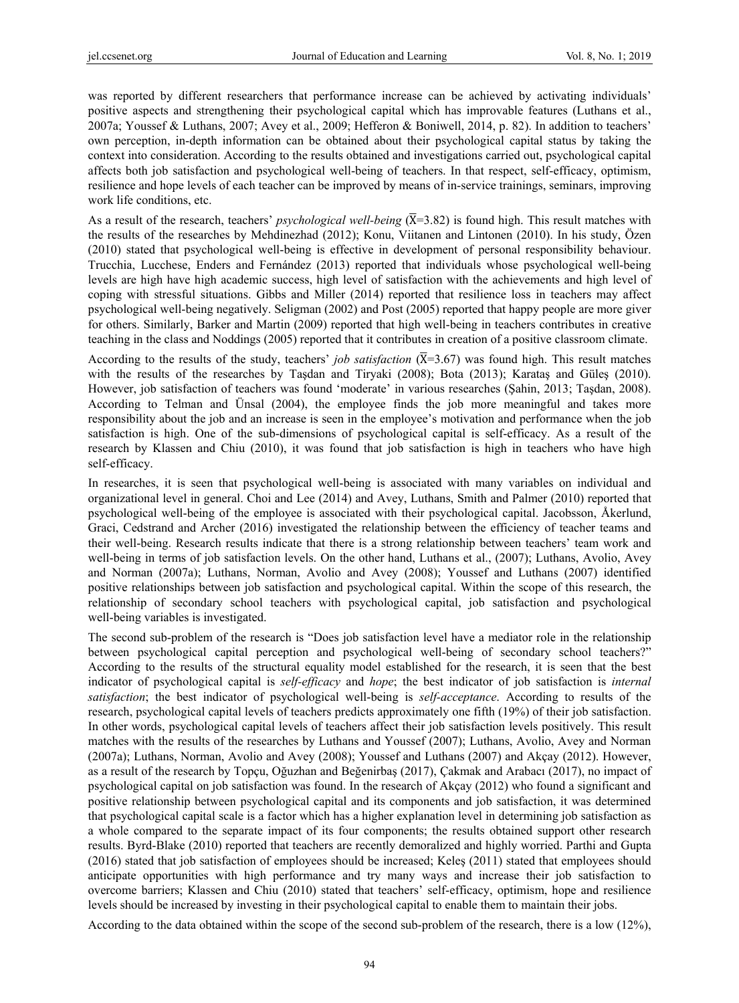was reported by different researchers that performance increase can be achieved by activating individuals' positive aspects and strengthening their psychological capital which has improvable features (Luthans et al., 2007a; Youssef & Luthans, 2007; Avey et al., 2009; Hefferon & Boniwell, 2014, p. 82). In addition to teachers' own perception, in-depth information can be obtained about their psychological capital status by taking the context into consideration. According to the results obtained and investigations carried out, psychological capital affects both job satisfaction and psychological well-being of teachers. In that respect, self-efficacy, optimism, resilience and hope levels of each teacher can be improved by means of in-service trainings, seminars, improving work life conditions, etc.

As a result of the research, teachers' *psychological well-being*  $(\overline{X}=3.82)$  is found high. This result matches with the results of the researches by Mehdinezhad (2012); Konu, Viitanen and Lintonen (2010). In his study, Özen (2010) stated that psychological well-being is effective in development of personal responsibility behaviour. Trucchia, Lucchese, Enders and Fernández (2013) reported that individuals whose psychological well-being levels are high have high academic success, high level of satisfaction with the achievements and high level of coping with stressful situations. Gibbs and Miller (2014) reported that resilience loss in teachers may affect psychological well-being negatively. Seligman (2002) and Post (2005) reported that happy people are more giver for others. Similarly, Barker and Martin (2009) reported that high well-being in teachers contributes in creative teaching in the class and Noddings (2005) reported that it contributes in creation of a positive classroom climate.

According to the results of the study, teachers' *job satisfaction*  $(\overline{X}=3.67)$  was found high. This result matches with the results of the researches by Taşdan and Tiryaki (2008); Bota (2013); Karataş and Güleş (2010). However, job satisfaction of teachers was found 'moderate' in various researches (Şahin, 2013; Taşdan, 2008). According to Telman and Ünsal (2004), the employee finds the job more meaningful and takes more responsibility about the job and an increase is seen in the employee's motivation and performance when the job satisfaction is high. One of the sub-dimensions of psychological capital is self-efficacy. As a result of the research by Klassen and Chiu (2010), it was found that job satisfaction is high in teachers who have high self-efficacy.

In researches, it is seen that psychological well-being is associated with many variables on individual and organizational level in general. Choi and Lee (2014) and Avey, Luthans, Smith and Palmer (2010) reported that psychological well-being of the employee is associated with their psychological capital. Jacobsson, Åkerlund, Graci, Cedstrand and Archer (2016) investigated the relationship between the efficiency of teacher teams and their well-being. Research results indicate that there is a strong relationship between teachers' team work and well-being in terms of job satisfaction levels. On the other hand, Luthans et al., (2007); Luthans, Avolio, Avey and Norman (2007a); Luthans, Norman, Avolio and Avey (2008); Youssef and Luthans (2007) identified positive relationships between job satisfaction and psychological capital. Within the scope of this research, the relationship of secondary school teachers with psychological capital, job satisfaction and psychological well-being variables is investigated.

The second sub-problem of the research is "Does job satisfaction level have a mediator role in the relationship between psychological capital perception and psychological well-being of secondary school teachers?" According to the results of the structural equality model established for the research, it is seen that the best indicator of psychological capital is *self-efficacy* and *hope*; the best indicator of job satisfaction is *internal satisfaction*; the best indicator of psychological well-being is *self-acceptance*. According to results of the research, psychological capital levels of teachers predicts approximately one fifth (19%) of their job satisfaction. In other words, psychological capital levels of teachers affect their job satisfaction levels positively. This result matches with the results of the researches by Luthans and Youssef (2007); Luthans, Avolio, Avey and Norman (2007a); Luthans, Norman, Avolio and Avey (2008); Youssef and Luthans (2007) and Akçay (2012). However, as a result of the research by Topçu, Oğuzhan and Beğenirbaş (2017), Çakmak and Arabacı (2017), no impact of psychological capital on job satisfaction was found. In the research of Akçay (2012) who found a significant and positive relationship between psychological capital and its components and job satisfaction, it was determined that psychological capital scale is a factor which has a higher explanation level in determining job satisfaction as a whole compared to the separate impact of its four components; the results obtained support other research results. Byrd-Blake (2010) reported that teachers are recently demoralized and highly worried. Parthi and Gupta (2016) stated that job satisfaction of employees should be increased; Keleş (2011) stated that employees should anticipate opportunities with high performance and try many ways and increase their job satisfaction to overcome barriers; Klassen and Chiu (2010) stated that teachers' self-efficacy, optimism, hope and resilience levels should be increased by investing in their psychological capital to enable them to maintain their jobs.

According to the data obtained within the scope of the second sub-problem of the research, there is a low (12%),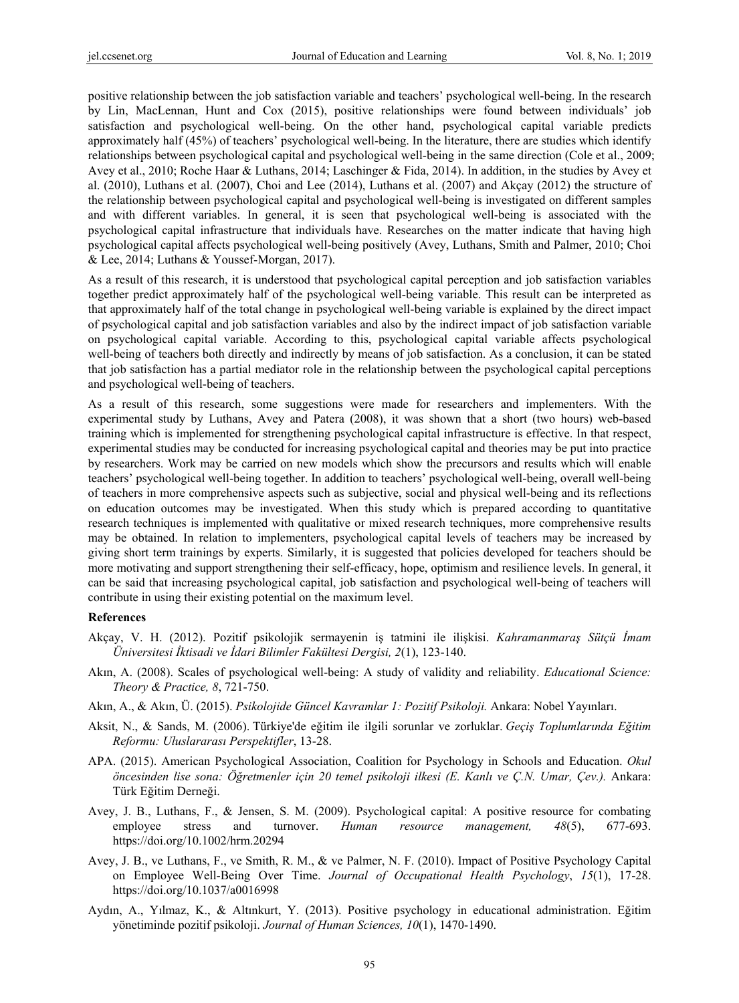positive relationship between the job satisfaction variable and teachers' psychological well-being. In the research by Lin, MacLennan, Hunt and Cox (2015), positive relationships were found between individuals' job satisfaction and psychological well-being. On the other hand, psychological capital variable predicts approximately half (45%) of teachers' psychological well-being. In the literature, there are studies which identify relationships between psychological capital and psychological well-being in the same direction (Cole et al., 2009; Avey et al., 2010; Roche Haar & Luthans, 2014; Laschinger & Fida, 2014). In addition, in the studies by Avey et al. (2010), Luthans et al. (2007), Choi and Lee (2014), Luthans et al. (2007) and Akçay (2012) the structure of the relationship between psychological capital and psychological well-being is investigated on different samples and with different variables. In general, it is seen that psychological well-being is associated with the psychological capital infrastructure that individuals have. Researches on the matter indicate that having high psychological capital affects psychological well-being positively (Avey, Luthans, Smith and Palmer, 2010; Choi & Lee, 2014; Luthans & Youssef-Morgan, 2017).

As a result of this research, it is understood that psychological capital perception and job satisfaction variables together predict approximately half of the psychological well-being variable. This result can be interpreted as that approximately half of the total change in psychological well-being variable is explained by the direct impact of psychological capital and job satisfaction variables and also by the indirect impact of job satisfaction variable on psychological capital variable. According to this, psychological capital variable affects psychological well-being of teachers both directly and indirectly by means of job satisfaction. As a conclusion, it can be stated that job satisfaction has a partial mediator role in the relationship between the psychological capital perceptions and psychological well-being of teachers.

As a result of this research, some suggestions were made for researchers and implementers. With the experimental study by Luthans, Avey and Patera (2008), it was shown that a short (two hours) web-based training which is implemented for strengthening psychological capital infrastructure is effective. In that respect, experimental studies may be conducted for increasing psychological capital and theories may be put into practice by researchers. Work may be carried on new models which show the precursors and results which will enable teachers' psychological well-being together. In addition to teachers' psychological well-being, overall well-being of teachers in more comprehensive aspects such as subjective, social and physical well-being and its reflections on education outcomes may be investigated. When this study which is prepared according to quantitative research techniques is implemented with qualitative or mixed research techniques, more comprehensive results may be obtained. In relation to implementers, psychological capital levels of teachers may be increased by giving short term trainings by experts. Similarly, it is suggested that policies developed for teachers should be more motivating and support strengthening their self-efficacy, hope, optimism and resilience levels. In general, it can be said that increasing psychological capital, job satisfaction and psychological well-being of teachers will contribute in using their existing potential on the maximum level.

#### **References**

- Akçay, V. H. (2012). Pozitif psikolojik sermayenin iş tatmini ile ilişkisi. *Kahramanmaraş Sütçü İmam Üniversitesi İktisadi ve İdari Bilimler Fakültesi Dergisi, 2*(1), 123-140.
- Akın, A. (2008). Scales of psychological well-being: A study of validity and reliability. *Educational Science: Theory & Practice, 8*, 721-750.
- Akın, A., & Akın, Ü. (2015). *Psikolojide Güncel Kavramlar 1: Pozitif Psikoloji.* Ankara: Nobel Yayınları.
- Aksit, N., & Sands, M. (2006). Türkiye'de eğitim ile ilgili sorunlar ve zorluklar. *Geçiş Toplumlarında Eğitim Reformu: Uluslararası Perspektifler*, 13-28.
- APA. (2015). American Psychological Association, Coalition for Psychology in Schools and Education. *Okul öncesinden lise sona: Öğretmenler için 20 temel psikoloji ilkesi (E. Kanlı ve Ç.N. Umar, Çev.).* Ankara: Türk Eğitim Derneği.
- Avey, J. B., Luthans, F., & Jensen, S. M. (2009). Psychological capital: A positive resource for combating employee stress and turnover. *Human resource management, 48*(5), 677-693. https://doi.org/10.1002/hrm.20294
- Avey, J. B., ve Luthans, F., ve Smith, R. M., & ve Palmer, N. F. (2010). Impact of Positive Psychology Capital on Employee Well-Being Over Time. *Journal of Occupational Health Psychology*, *15*(1), 17-28. https://doi.org/10.1037/a0016998
- Aydın, A., Yılmaz, K., & Altınkurt, Y. (2013). Positive psychology in educational administration. Eğitim yönetiminde pozitif psikoloji. *Journal of Human Sciences, 10*(1), 1470-1490.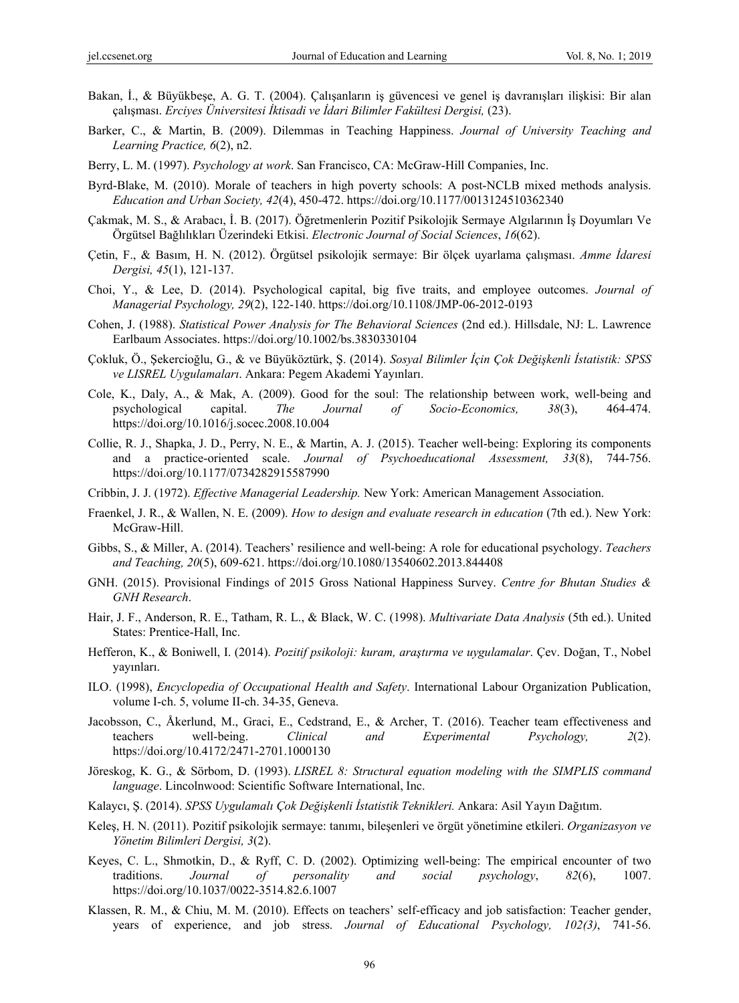- Bakan, İ., & Büyükbeşe, A. G. T. (2004). Çalışanların iş güvencesi ve genel iş davranışları ilişkisi: Bir alan çalışması. *Erciyes Üniversitesi İktisadi ve İdari Bilimler Fakültesi Dergisi,* (23).
- Barker, C., & Martin, B. (2009). Dilemmas in Teaching Happiness. *Journal of University Teaching and Learning Practice, 6*(2), n2.
- Berry, L. M. (1997). *Psychology at work*. San Francisco, CA: McGraw-Hill Companies, Inc.
- Byrd-Blake, M. (2010). Morale of teachers in high poverty schools: A post-NCLB mixed methods analysis. *Education and Urban Society, 42*(4), 450-472. https://doi.org/10.1177/0013124510362340
- Çakmak, M. S., & Arabacı, İ. B. (2017). Öğretmenlerin Pozitif Psikolojik Sermaye Algılarının İş Doyumları Ve Örgütsel Bağlılıkları Üzerindeki Etkisi. *Electronic Journal of Social Sciences*, *16*(62).
- Çetin, F., & Basım, H. N. (2012). Örgütsel psikolojik sermaye: Bir ölçek uyarlama çalışması. *Amme İdaresi Dergisi, 45*(1), 121-137.
- Choi, Y., & Lee, D. (2014). Psychological capital, big five traits, and employee outcomes. *Journal of Managerial Psychology, 29*(2), 122-140. https://doi.org/10.1108/JMP-06-2012-0193
- Cohen, J. (1988). *Statistical Power Analysis for The Behavioral Sciences* (2nd ed.). Hillsdale, NJ: L. Lawrence Earlbaum Associates. https://doi.org/10.1002/bs.3830330104
- Çokluk, Ö., Şekercioğlu, G., & ve Büyüköztürk, Ş. (2014). *Sosyal Bilimler İçin Çok Değişkenli İstatistik: SPSS ve LISREL Uygulamaları*. Ankara: Pegem Akademi Yayınları.
- Cole, K., Daly, A., & Mak, A. (2009). Good for the soul: The relationship between work, well-being and psychological capital. *The Journal of Socio-Economics, 38*(3), 464-474. https://doi.org/10.1016/j.socec.2008.10.004
- Collie, R. J., Shapka, J. D., Perry, N. E., & Martin, A. J. (2015). Teacher well-being: Exploring its components and a practice-oriented scale. *Journal of Psychoeducational Assessment, 33*(8), 744-756. https://doi.org/10.1177/0734282915587990
- Cribbin, J. J. (1972). *Effective Managerial Leadership.* New York: American Management Association.
- Fraenkel, J. R., & Wallen, N. E. (2009). *How to design and evaluate research in education* (7th ed.). New York: McGraw-Hill.
- Gibbs, S., & Miller, A. (2014). Teachers' resilience and well-being: A role for educational psychology. *Teachers and Teaching, 20*(5), 609-621. https://doi.org/10.1080/13540602.2013.844408
- GNH. (2015). Provisional Findings of 2015 Gross National Happiness Survey. *Centre for Bhutan Studies & GNH Research*.
- Hair, J. F., Anderson, R. E., Tatham, R. L., & Black, W. C. (1998). *Multivariate Data Analysis* (5th ed.). United States: Prentice-Hall, Inc.
- Hefferon, K., & Boniwell, I. (2014). *Pozitif psikoloji: kuram, araştırma ve uygulamalar*. Çev. Doğan, T., Nobel yayınları.
- ILO. (1998), *Encyclopedia of Occupational Health and Safety*. International Labour Organization Publication, volume I-ch. 5, volume II-ch. 34-35, Geneva.
- Jacobsson, C., Åkerlund, M., Graci, E., Cedstrand, E., & Archer, T. (2016). Teacher team effectiveness and teachers well-being. *Clinical and Experimental Psychology, 2*(2). https://doi.org/10.4172/2471-2701.1000130
- Jöreskog, K. G., & Sörbom, D. (1993). *LISREL 8: Structural equation modeling with the SIMPLIS command language*. Lincolnwood: Scientific Software International, Inc.
- Kalaycı, Ş. (2014). *SPSS Uygulamalı Çok Değişkenli İstatistik Teknikleri.* Ankara: Asil Yayın Dağıtım.
- Keleş, H. N. (2011). Pozitif psikolojik sermaye: tanımı, bileşenleri ve örgüt yönetimine etkileri. *Organizasyon ve Yönetim Bilimleri Dergisi, 3*(2).
- Keyes, C. L., Shmotkin, D., & Ryff, C. D. (2002). Optimizing well-being: The empirical encounter of two traditions. *Journal of personality and social psychology*, *82*(6), 1007. https://doi.org/10.1037/0022-3514.82.6.1007
- Klassen, R. M., & Chiu, M. M. (2010). Effects on teachers' self-efficacy and job satisfaction: Teacher gender, years of experience, and job stress. *Journal of Educational Psychology, 102(3)*, 741-56.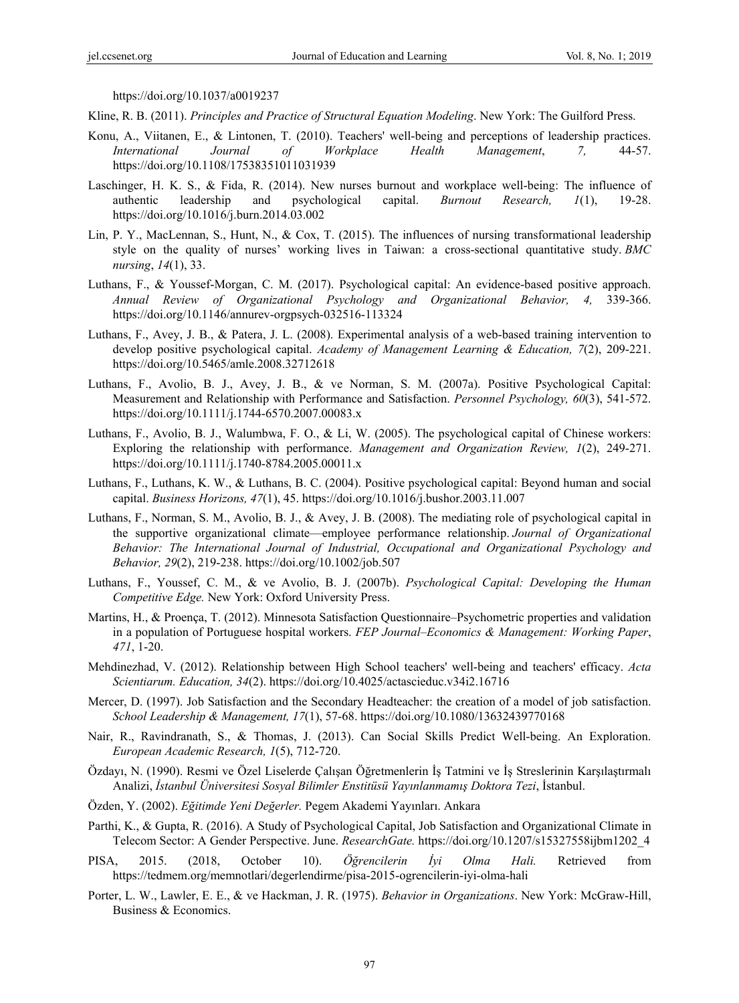https://doi.org/10.1037/a0019237

Kline, R. B. (2011). *Principles and Practice of Structural Equation Modeling*. New York: The Guilford Press.

- Konu, A., Viitanen, E., & Lintonen, T. (2010). Teachers' well-being and perceptions of leadership practices. *International Journal of Workplace Health Management*, *7,* 44-57. https://doi.org/10.1108/17538351011031939
- Laschinger, H. K. S., & Fida, R. (2014). New nurses burnout and workplace well-being: The influence of authentic leadership and psychological capital. *Burnout Research, 1*(1), 19-28. https://doi.org/10.1016/j.burn.2014.03.002
- Lin, P. Y., MacLennan, S., Hunt, N., & Cox, T. (2015). The influences of nursing transformational leadership style on the quality of nurses' working lives in Taiwan: a cross-sectional quantitative study. *BMC nursing*, *14*(1), 33.
- Luthans, F., & Youssef-Morgan, C. M. (2017). Psychological capital: An evidence-based positive approach. *Annual Review of Organizational Psychology and Organizational Behavior, 4,* 339-366. https://doi.org/10.1146/annurev-orgpsych-032516-113324
- Luthans, F., Avey, J. B., & Patera, J. L. (2008). Experimental analysis of a web-based training intervention to develop positive psychological capital. *Academy of Management Learning & Education, 7*(2), 209-221. https://doi.org/10.5465/amle.2008.32712618
- Luthans, F., Avolio, B. J., Avey, J. B., & ve Norman, S. M. (2007a). Positive Psychological Capital: Measurement and Relationship with Performance and Satisfaction. *Personnel Psychology, 60*(3), 541-572. https://doi.org/10.1111/j.1744-6570.2007.00083.x
- Luthans, F., Avolio, B. J., Walumbwa, F. O., & Li, W. (2005). The psychological capital of Chinese workers: Exploring the relationship with performance. *Management and Organization Review, 1*(2), 249-271. https://doi.org/10.1111/j.1740-8784.2005.00011.x
- Luthans, F., Luthans, K. W., & Luthans, B. C. (2004). Positive psychological capital: Beyond human and social capital. *Business Horizons, 47*(1), 45. https://doi.org/10.1016/j.bushor.2003.11.007
- Luthans, F., Norman, S. M., Avolio, B. J., & Avey, J. B. (2008). The mediating role of psychological capital in the supportive organizational climate—employee performance relationship. *Journal of Organizational Behavior: The International Journal of Industrial, Occupational and Organizational Psychology and Behavior, 29*(2), 219-238. https://doi.org/10.1002/job.507
- Luthans, F., Youssef, C. M., & ve Avolio, B. J. (2007b). *Psychological Capital: Developing the Human Competitive Edge.* New York: Oxford University Press.
- Martins, H., & Proença, T. (2012). Minnesota Satisfaction Questionnaire–Psychometric properties and validation in a population of Portuguese hospital workers. *FEP Journal–Economics & Management: Working Paper*, *471*, 1-20.
- Mehdinezhad, V. (2012). Relationship between High School teachers' well-being and teachers' efficacy. *Acta Scientiarum. Education, 34*(2). https://doi.org/10.4025/actascieduc.v34i2.16716
- Mercer, D. (1997). Job Satisfaction and the Secondary Headteacher: the creation of a model of job satisfaction. *School Leadership & Management, 17*(1), 57-68. https://doi.org/10.1080/13632439770168
- Nair, R., Ravindranath, S., & Thomas, J. (2013). Can Social Skills Predict Well-being. An Exploration. *European Academic Research, 1*(5), 712-720.
- Özdayı, N. (1990). Resmi ve Özel Liselerde Çalışan Öğretmenlerin İş Tatmini ve İş Streslerinin Karşılaştırmalı Analizi, *İstanbul Üniversitesi Sosyal Bilimler Enstitüsü Yayınlanmamış Doktora Tezi*, İstanbul.
- Özden, Y. (2002). *Eğitimde Yeni Değerler.* Pegem Akademi Yayınları. Ankara
- Parthi, K., & Gupta, R. (2016). A Study of Psychological Capital, Job Satisfaction and Organizational Climate in Telecom Sector: A Gender Perspective. June. *ResearchGate.* https://doi.org/10.1207/s15327558ijbm1202\_4
- PISA, 2015. (2018, October 10). *Öğrencilerin İyi Olma Hali.* Retrieved from https://tedmem.org/memnotlari/degerlendirme/pisa-2015-ogrencilerin-iyi-olma-hali
- Porter, L. W., Lawler, E. E., & ve Hackman, J. R. (1975). *Behavior in Organizations*. New York: McGraw-Hill, Business & Economics.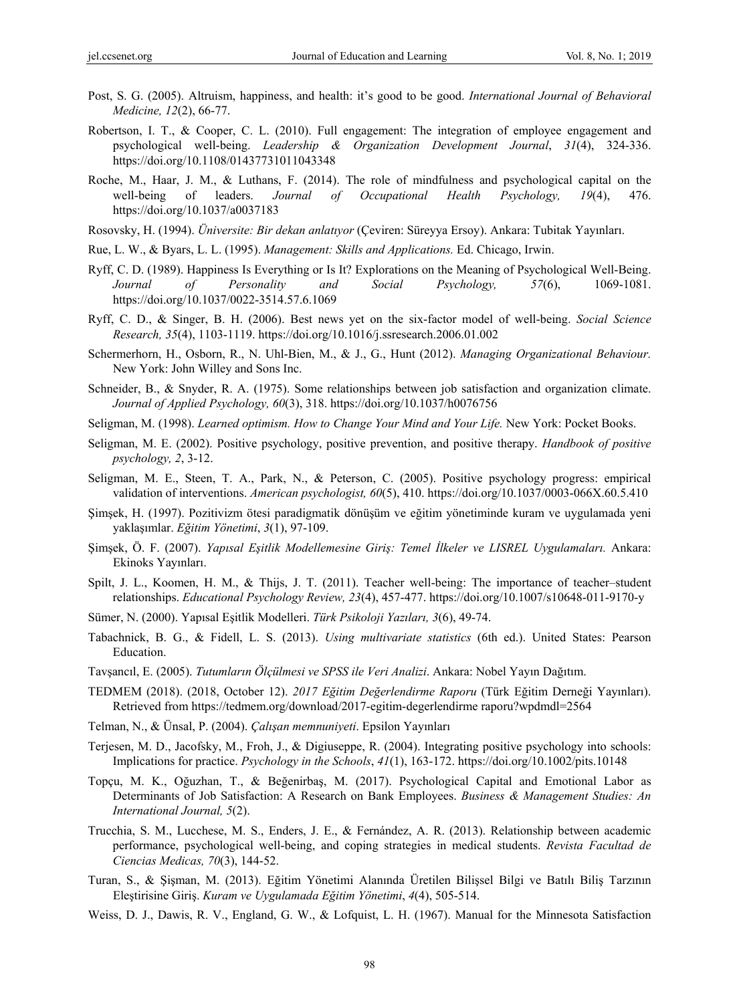- Post, S. G. (2005). Altruism, happiness, and health: it's good to be good. *International Journal of Behavioral Medicine, 12*(2), 66-77.
- Robertson, I. T., & Cooper, C. L. (2010). Full engagement: The integration of employee engagement and psychological well-being. *Leadership & Organization Development Journal*, *31*(4), 324-336. https://doi.org/10.1108/01437731011043348
- Roche, M., Haar, J. M., & Luthans, F. (2014). The role of mindfulness and psychological capital on the well-being of leaders. *Journal of Occupational Health Psychology, 19*(4), 476. https://doi.org/10.1037/a0037183
- Rosovsky, H. (1994). *Üniversite: Bir dekan anlatıyor* (Çeviren: Süreyya Ersoy). Ankara: Tubitak Yayınları.
- Rue, L. W., & Byars, L. L. (1995). *Management: Skills and Applications.* Ed. Chicago, Irwin.
- Ryff, C. D. (1989). Happiness Is Everything or Is It? Explorations on the Meaning of Psychological Well-Being. *Journal of Personality and Social Psychology, 57*(6), 1069-1081. https://doi.org/10.1037/0022-3514.57.6.1069
- Ryff, C. D., & Singer, B. H. (2006). Best news yet on the six-factor model of well-being. *Social Science Research, 35*(4), 1103-1119. https://doi.org/10.1016/j.ssresearch.2006.01.002
- Schermerhorn, H., Osborn, R., N. Uhl-Bien, M., & J., G., Hunt (2012). *Managing Organizational Behaviour.* New York: John Willey and Sons Inc.
- Schneider, B., & Snyder, R. A. (1975). Some relationships between job satisfaction and organization climate. *Journal of Applied Psychology, 60*(3), 318. https://doi.org/10.1037/h0076756
- Seligman, M. (1998). *Learned optimism. How to Change Your Mind and Your Life.* New York: Pocket Books.
- Seligman, M. E. (2002). Positive psychology, positive prevention, and positive therapy. *Handbook of positive psychology, 2*, 3-12.
- Seligman, M. E., Steen, T. A., Park, N., & Peterson, C. (2005). Positive psychology progress: empirical validation of interventions. *American psychologist, 60*(5), 410. https://doi.org/10.1037/0003-066X.60.5.410
- Şimşek, H. (1997). Pozitivizm ötesi paradigmatik dönüşüm ve eğitim yönetiminde kuram ve uygulamada yeni yaklaşımlar. *Eğitim Yönetimi*, *3*(1), 97-109.
- Şimşek, Ö. F. (2007). *Yapısal Eşitlik Modellemesine Giriş: Temel İlkeler ve LISREL Uygulamaları.* Ankara: Ekinoks Yayınları.
- Spilt, J. L., Koomen, H. M., & Thijs, J. T. (2011). Teacher well-being: The importance of teacher–student relationships. *Educational Psychology Review, 23*(4), 457-477. https://doi.org/10.1007/s10648-011-9170-y
- Sümer, N. (2000). Yapısal Eşitlik Modelleri. *Türk Psikoloji Yazıları, 3*(6), 49-74.
- Tabachnick, B. G., & Fidell, L. S. (2013). *Using multivariate statistics* (6th ed.). United States: Pearson Education.
- Tavşancıl, E. (2005). *Tutumların Ölçülmesi ve SPSS ile Veri Analizi*. Ankara: Nobel Yayın Dağıtım.
- TEDMEM (2018). (2018, October 12). *2017 Eğitim Değerlendirme Raporu* (Türk Eğitim Derneği Yayınları). Retrieved from https://tedmem.org/download/2017-egitim-degerlendirme raporu?wpdmdl=2564
- Telman, N., & Ünsal, P. (2004). *Çalışan memnuniyeti*. Epsilon Yayınları
- Terjesen, M. D., Jacofsky, M., Froh, J., & Digiuseppe, R. (2004). Integrating positive psychology into schools: Implications for practice. *Psychology in the Schools*, *41*(1), 163-172. https://doi.org/10.1002/pits.10148
- Topçu, M. K., Oğuzhan, T., & Beğenirbaş, M. (2017). Psychological Capital and Emotional Labor as Determinants of Job Satisfaction: A Research on Bank Employees. *Business & Management Studies: An International Journal, 5*(2).
- Trucchia, S. M., Lucchese, M. S., Enders, J. E., & Fernández, A. R. (2013). Relationship between academic performance, psychological well-being, and coping strategies in medical students. *Revista Facultad de Ciencias Medicas, 70*(3), 144-52.
- Turan, S., & Şişman, M. (2013). Eğitim Yönetimi Alanında Üretilen Bilişsel Bilgi ve Batılı Biliş Tarzının Eleştirisine Giriş. *Kuram ve Uygulamada Eğitim Yönetimi*, *4*(4), 505-514.
- Weiss, D. J., Dawis, R. V., England, G. W., & Lofquist, L. H. (1967). Manual for the Minnesota Satisfaction